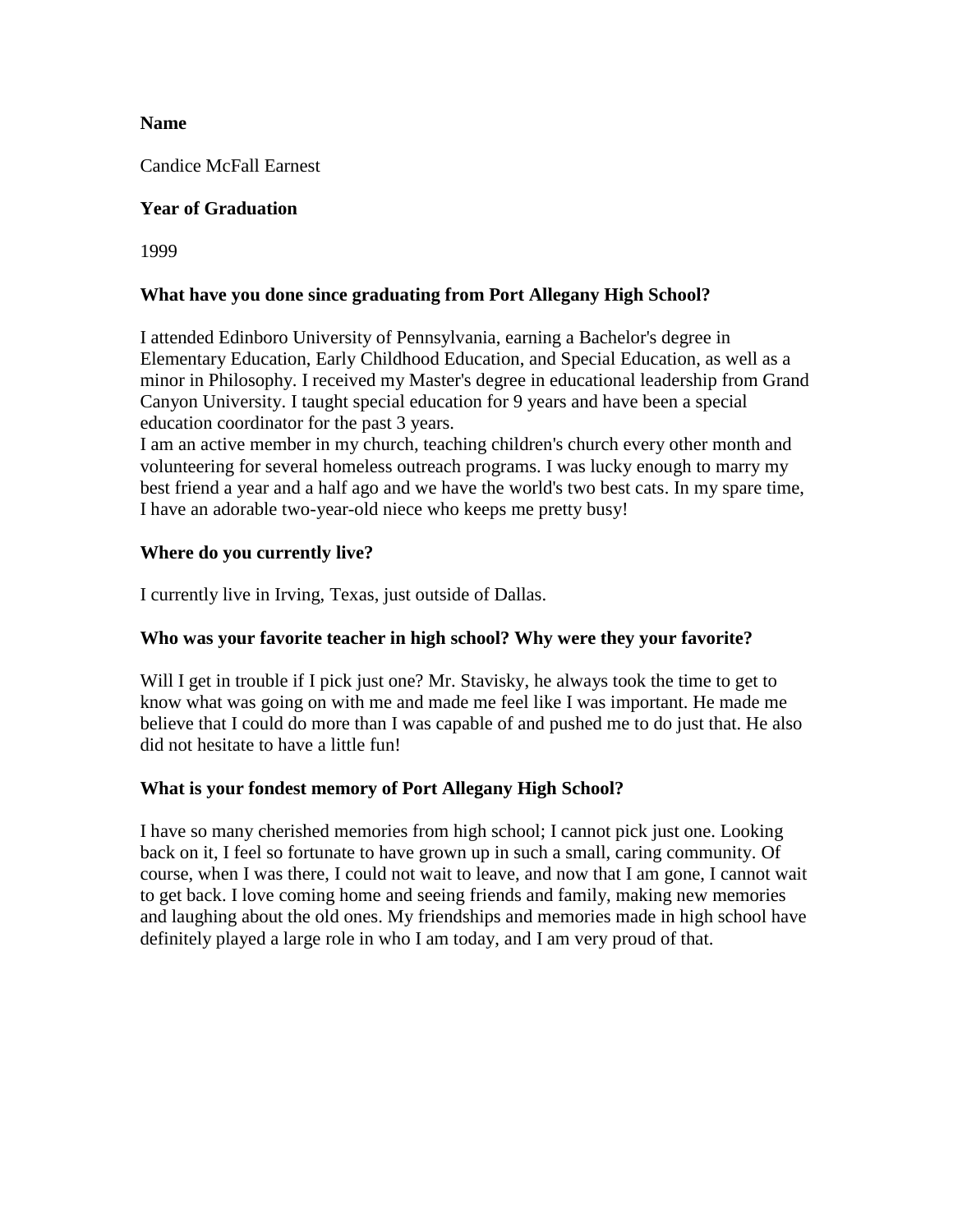#### **Name**

Candice McFall Earnest

## **Year of Graduation**

1999

### **What have you done since graduating from Port Allegany High School?**

I attended Edinboro University of Pennsylvania, earning a Bachelor's degree in Elementary Education, Early Childhood Education, and Special Education, as well as a minor in Philosophy. I received my Master's degree in educational leadership from Grand Canyon University. I taught special education for 9 years and have been a special education coordinator for the past 3 years.

I am an active member in my church, teaching children's church every other month and volunteering for several homeless outreach programs. I was lucky enough to marry my best friend a year and a half ago and we have the world's two best cats. In my spare time, I have an adorable two-year-old niece who keeps me pretty busy!

### **Where do you currently live?**

I currently live in Irving, Texas, just outside of Dallas.

#### **Who was your favorite teacher in high school? Why were they your favorite?**

Will I get in trouble if I pick just one? Mr. Stavisky, he always took the time to get to know what was going on with me and made me feel like I was important. He made me believe that I could do more than I was capable of and pushed me to do just that. He also did not hesitate to have a little fun!

# **What is your fondest memory of Port Allegany High School?**

I have so many cherished memories from high school; I cannot pick just one. Looking back on it, I feel so fortunate to have grown up in such a small, caring community. Of course, when I was there, I could not wait to leave, and now that I am gone, I cannot wait to get back. I love coming home and seeing friends and family, making new memories and laughing about the old ones. My friendships and memories made in high school have definitely played a large role in who I am today, and I am very proud of that.